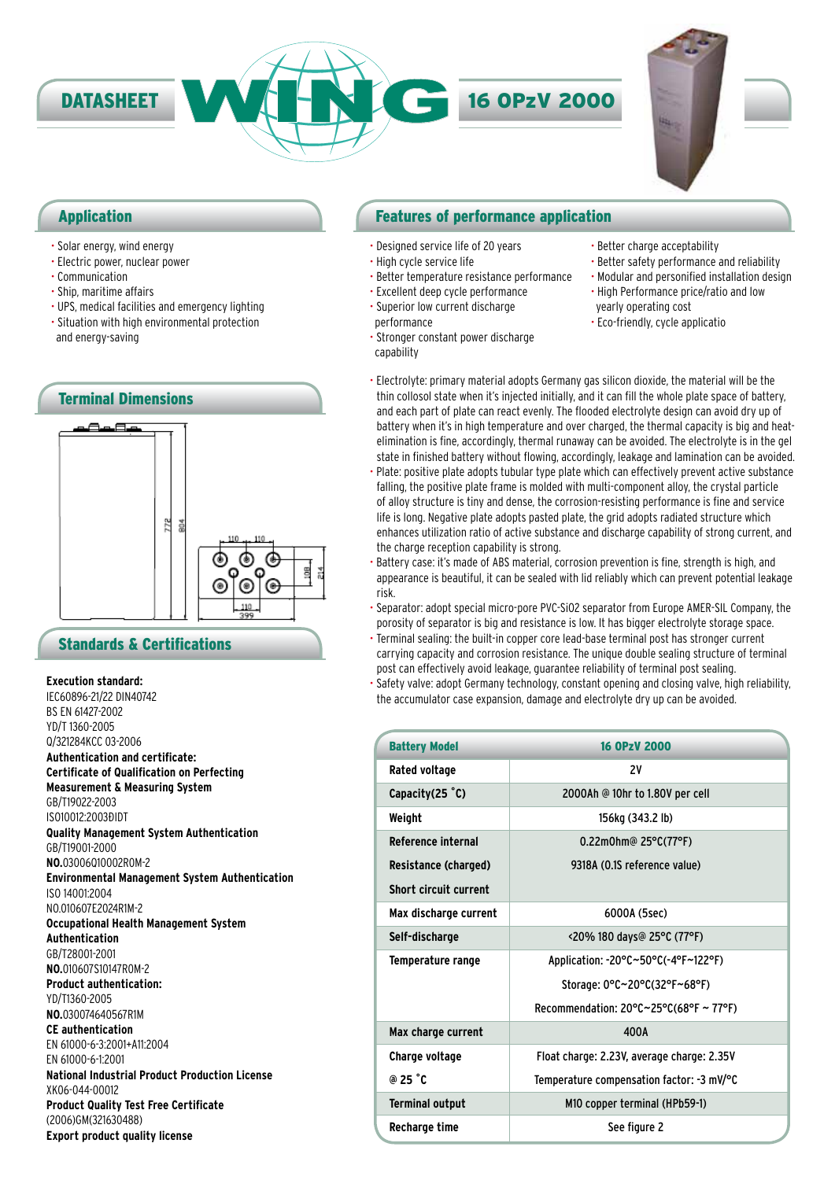

### Application

- Solar energy, wind energy
- Electric power, nuclear power
- Communication
- Ship, maritime affairs
- UPS, medical facilities and emergency lighting
- Situation with high environmental protection and energy-saving



### Standards & Certifications

### **Execution standard:**

IEC60896-21/22 DIN40742 BS EN 61427-2002 YD/T 1360-2005 Q/321284KCC 03-2006 **Authentication and certificate: Certificate of Qualification on Perfecting Measurement & Measuring System** GB/T19022-2003 IS010012:2003ĐIDT **Quality Management System Authentication** GB/T19001-2000 **NO.**03006Q10002R0M-2 **Environmental Management System Authentication** ISO 14001:2004 NO.010607E2024R1M-2 **Occupational Health Management System Authentication** GB/T28001-2001 **NO.**010607S10147R0M-2 **Product authentication:** YD/T1360-2005 **NO.**030074640567R1M **CE authentication** EN 61000-6-3:2001+A11:2004 EN 61000-6-1:2001 **National Industrial Product Production License** XK06-044-00012 **Product Quality Test Free Certificate** (2006)GM(321630488) **Export product quality license**

### Features of performance application

- Designed service life of 20 years
- High cycle service life
- Better temperature resistance performance
- Excellent deep cycle performance
- Superior low current discharge performance
- -
- Stronger constant power discharge

capability

- Better charge acceptability
- Better safety performance and reliability • Modular and personified installation design
- High Performance price/ratio and low yearly operating cost
- Eco-friendly, cycle applicatio
- Electrolyte: primary material adopts Germany gas silicon dioxide, the material will be the thin collosol state when it's injected initially, and it can fill the whole plate space of battery, and each part of plate can react evenly. The flooded electrolyte design can avoid dry up of battery when it's in high temperature and over charged, the thermal capacity is big and heatelimination is fine, accordingly, thermal runaway can be avoided. The electrolyte is in the gel state in finished battery without flowing, accordingly, leakage and lamination can be avoided.
- Plate: positive plate adopts tubular type plate which can effectively prevent active substance falling, the positive plate frame is molded with multi-component alloy, the crystal particle of alloy structure is tiny and dense, the corrosion-resisting performance is fine and service life is long. Negative plate adopts pasted plate, the grid adopts radiated structure which enhances utilization ratio of active substance and discharge capability of strong current, and the charge reception capability is strong.
- Battery case: it's made of ABS material, corrosion prevention is fine, strength is high, and appearance is beautiful, it can be sealed with lid reliably which can prevent potential leakage risk.
- Separator: adopt special micro-pore PVC-SiO2 separator from Europe AMER-SIL Company, the porosity of separator is big and resistance is low. It has bigger electrolyte storage space.
- Terminal sealing: the built-in copper core lead-base terminal post has stronger current carrying capacity and corrosion resistance. The unique double sealing structure of terminal post can effectively avoid leakage, guarantee reliability of terminal post sealing.
- Safety valve: adopt Germany technology, constant opening and closing valve, high reliability, the accumulator case expansion, damage and electrolyte dry up can be avoided.

| <b>Battery Model</b>         | <b>16 OPzV 2000</b>                                          |  |  |  |  |  |  |  |
|------------------------------|--------------------------------------------------------------|--|--|--|--|--|--|--|
| Rated voltage                | 2V                                                           |  |  |  |  |  |  |  |
| Capacity $(25 \degree C)$    | 2000Ah @ 10hr to 1.80V per cell                              |  |  |  |  |  |  |  |
| Weight                       | 156kg (343.2 lb)                                             |  |  |  |  |  |  |  |
| Reference internal           | 0.22m0hm@ 25°C(77°F)                                         |  |  |  |  |  |  |  |
| Resistance (charged)         | 9318A (0.1S reference value)                                 |  |  |  |  |  |  |  |
| <b>Short circuit current</b> |                                                              |  |  |  |  |  |  |  |
| Max discharge current        | 6000A (5sec)                                                 |  |  |  |  |  |  |  |
| Self-discharge               | <20% 180 days@ 25°C (77°F)                                   |  |  |  |  |  |  |  |
| Temperature range            | Application: -20°C~50°C(-4°F~122°F)                          |  |  |  |  |  |  |  |
|                              | Storage: 0°C~20°C(32°F~68°F)                                 |  |  |  |  |  |  |  |
|                              | Recommendation: $20^{\circ}$ C $\sim$ 25°C(68°F $\sim$ 77°F) |  |  |  |  |  |  |  |
| Max charge current           | 400A                                                         |  |  |  |  |  |  |  |
| Charge voltage               | Float charge: 2.23V, average charge: 2.35V                   |  |  |  |  |  |  |  |
| @ $25 \degree$ C             | Temperature compensation factor: -3 mV/°C                    |  |  |  |  |  |  |  |
| <b>Terminal output</b>       | M10 copper terminal (HPb59-1)                                |  |  |  |  |  |  |  |
| Recharge time                | See figure 2                                                 |  |  |  |  |  |  |  |